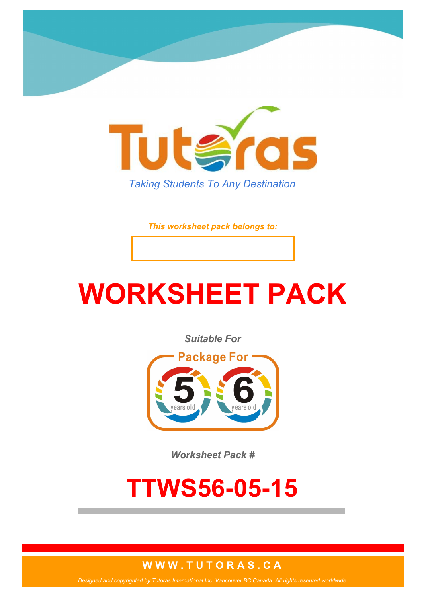

*This worksheet pack belongs to:*

# **WORKSHEET PACK**

*Suitable For*



*Worksheet Pack #*

## **TTWS56-05-15**

#### **W W W . T U T O R A S . C A**

*Designed and copyrighted by Tutoras International Inc. Vancouver BC Canada. All rights reserved worldwide.*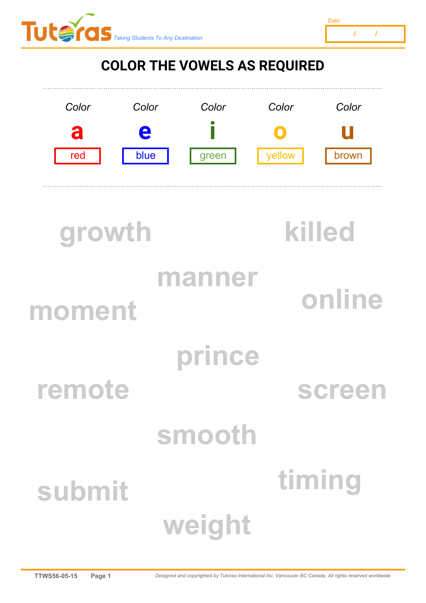



### **COLOR THE VOWELS AS REQUIRED**



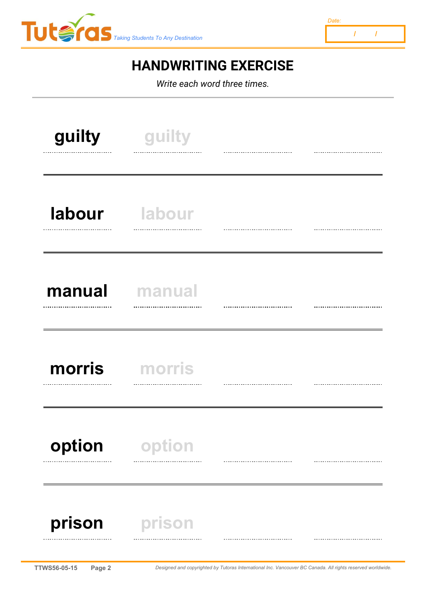



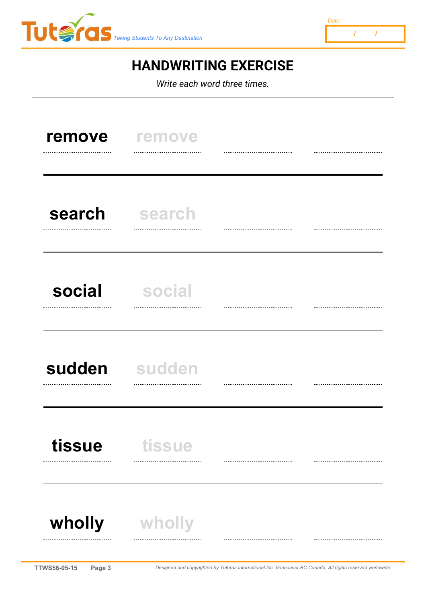



| remove<br>                    | remove<br><br>                                                                                             |  |  |
|-------------------------------|------------------------------------------------------------------------------------------------------------|--|--|
| search<br>                    | search<br>                                                                                                 |  |  |
| social<br>                    | social<br>                                                                                                 |  |  |
| sudden sudden<br>             | <br>                                                                                                       |  |  |
| tissue                        | tissue<br><br>-----------------------                                                                      |  |  |
| wholly                        | wholly<br>                                                                                                 |  |  |
| <b>TTWS56-05-15</b><br>Page 3 | Designed and copyrighted by Tutoras International Inc. Vancouver BC Canada. All rights reserved worldwide. |  |  |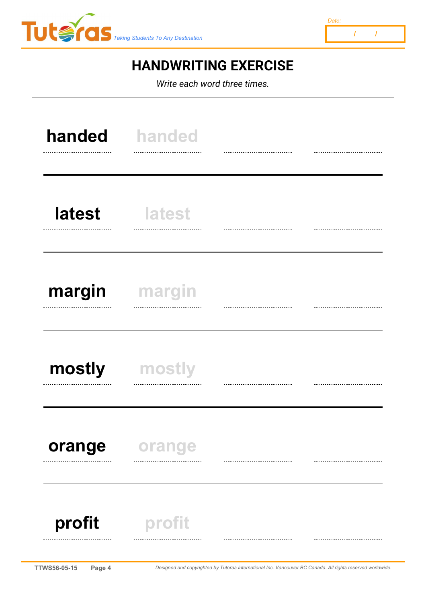



|        | handed handed |  |
|--------|---------------|--|
| latest | <b>latest</b> |  |
| margin | margin        |  |
| mostly | mostly        |  |
| orange | orange        |  |
| profit | profit        |  |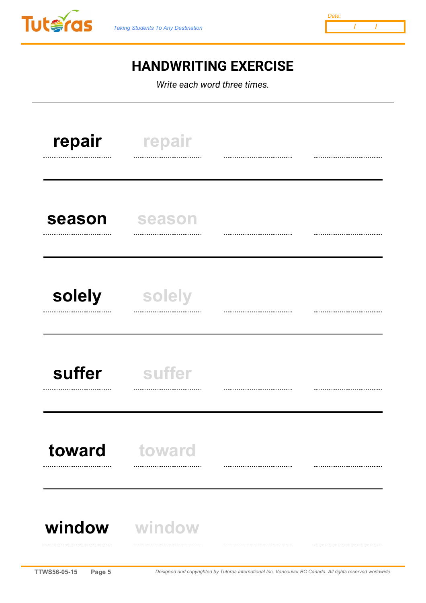



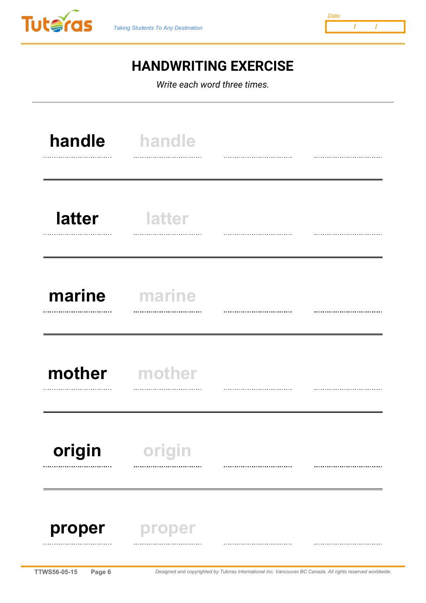